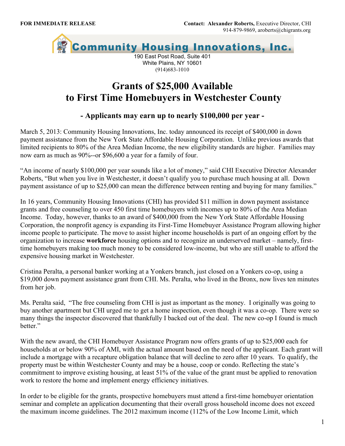

White Plains, NY 10601 (914)683-1010

## **Grants of \$25,000 Available to First Time Homebuyers in Westchester County**

## **- Applicants may earn up to nearly \$100,000 per year -**

March 5, 2013: Community Housing Innovations, Inc. today announced its receipt of \$400,000 in down payment assistance from the New York State Affordable Housing Corporation. Unlike previous awards that limited recipients to 80% of the Area Median Income, the new eligibility standards are higher. Families may now earn as much as 90%--or \$96,600 a year for a family of four.

"An income of nearly \$100,000 per year sounds like a lot of money," said CHI Executive Director Alexander Roberts, "But when you live in Westchester, it doesn't qualify you to purchase much housing at all. Down payment assistance of up to \$25,000 can mean the difference between renting and buying for many families."

In 16 years, Community Housing Innovations (CHI) has provided \$11 million in down payment assistance grants and free counseling to over 450 first time homebuyers with incomes up to 80% of the Area Median Income. Today, however, thanks to an award of \$400,000 from the New York State Affordable Housing Corporation, the nonprofit agency is expanding its First-Time Homebuyer Assistance Program allowing higher income people to participate. The move to assist higher income households is part of an ongoing effort by the organization to increase **workforce** housing options and to recognize an underserved market – namely, firsttime homebuyers making too much money to be considered low-income, but who are still unable to afford the expensive housing market in Westchester.

Cristina Peralta, a personal banker working at a Yonkers branch, just closed on a Yonkers co-op, using a \$19,000 down payment assistance grant from CHI. Ms. Peralta, who lived in the Bronx, now lives ten minutes from her job.

Ms. Peralta said, "The free counseling from CHI is just as important as the money. I originally was going to buy another apartment but CHI urged me to get a home inspection, even though it was a co-op. There were so many things the inspector discovered that thankfully I backed out of the deal. The new co-op I found is much better<sup>"</sup>

With the new award, the CHI Homebuyer Assistance Program now offers grants of up to \$25,000 each for households at or below 90% of AMI, with the actual amount based on the need of the applicant. Each grant will include a mortgage with a recapture obligation balance that will decline to zero after 10 years. To qualify, the property must be within Westchester County and may be a house, coop or condo. Reflecting the state's commitment to improve existing housing, at least 51% of the value of the grant must be applied to renovation work to restore the home and implement energy efficiency initiatives.

In order to be eligible for the grants, prospective homebuyers must attend a first-time homebuyer orientation seminar and complete an application documenting that their overall gross household income does not exceed the maximum income guidelines. The 2012 maximum income (112% of the Low Income Limit, which